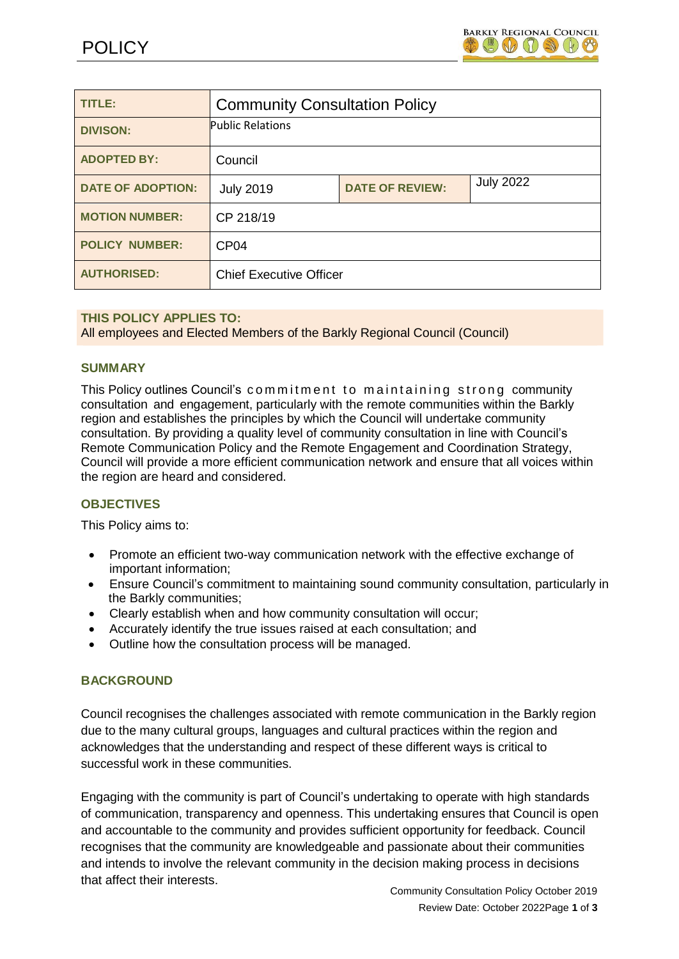

| TITLE:                   | <b>Community Consultation Policy</b> |                        |                  |  |
|--------------------------|--------------------------------------|------------------------|------------------|--|
| <b>DIVISON:</b>          | <b>Public Relations</b>              |                        |                  |  |
| <b>ADOPTED BY:</b>       | Council                              |                        |                  |  |
| <b>DATE OF ADOPTION:</b> | <b>July 2019</b>                     | <b>DATE OF REVIEW:</b> | <b>July 2022</b> |  |
| <b>MOTION NUMBER:</b>    | CP 218/19                            |                        |                  |  |
| <b>POLICY NUMBER:</b>    | CP <sub>04</sub>                     |                        |                  |  |
| <b>AUTHORISED:</b>       | <b>Chief Executive Officer</b>       |                        |                  |  |

## **THIS POLICY APPLIES TO:**

All employees and Elected Members of the Barkly Regional Council (Council)

#### **SUMMARY**

This Policy outlines Council's commitment to maintaining strong community consultation and engagement, particularly with the remote communities within the Barkly region and establishes the principles by which the Council will undertake community consultation. By providing a quality level of community consultation in line with Council's Remote Communication Policy and the Remote Engagement and Coordination Strategy, Council will provide a more efficient communication network and ensure that all voices within the region are heard and considered.

## **OBJECTIVES**

This Policy aims to:

- Promote an efficient two-way communication network with the effective exchange of important information;
- Ensure Council's commitment to maintaining sound community consultation, particularly in the Barkly communities;
- Clearly establish when and how community consultation will occur;
- Accurately identify the true issues raised at each consultation; and
- Outline how the consultation process will be managed.

#### **BACKGROUND**

Council recognises the challenges associated with remote communication in the Barkly region due to the many cultural groups, languages and cultural practices within the region and acknowledges that the understanding and respect of these different ways is critical to successful work in these communities.

Engaging with the community is part of Council's undertaking to operate with high standards of communication, transparency and openness. This undertaking ensures that Council is open and accountable to the community and provides sufficient opportunity for feedback. Council recognises that the community are knowledgeable and passionate about their communities and intends to involve the relevant community in the decision making process in decisions that affect their interests.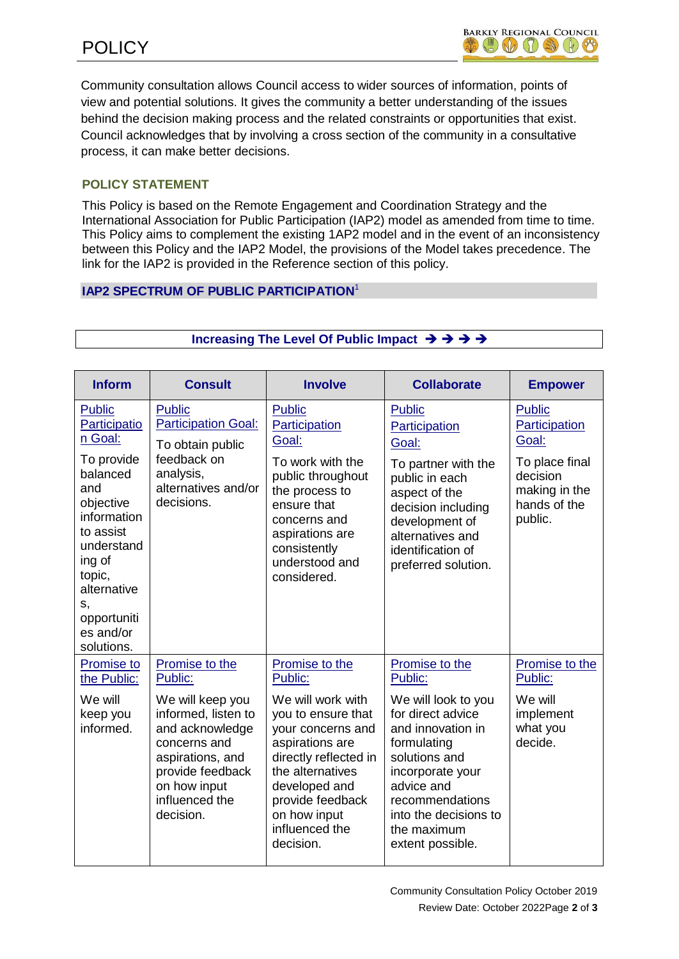Community consultation allows Council access to wider sources of information, points of view and potential solutions. It gives the community a better understanding of the issues behind the decision making process and the related constraints or opportunities that exist. Council acknowledges that by involving a cross section of the community in a consultative process, it can make better decisions.

# **POLICY STATEMENT**

This Policy is based on the Remote Engagement and Coordination Strategy and the International Association for Public Participation (IAP2) model as amended from time to time. This Policy aims to complement the existing 1AP2 model and in the event of an inconsistency between this Policy and the IAP2 Model, the provisions of the Model takes precedence. The link for the IAP2 is provided in the Reference section of this policy.

# **IAP2 SPECTRUM OF PUBLIC PARTICIPATION** 1

| <b>Inform</b>                                                                                                                                                                                                       | <b>Consult</b>                                                                                                                                                                                 | <b>Involve</b>                                                                                                                                                                                                                                | <b>Collaborate</b>                                                                                                                                                                                                                          | <b>Empower</b>                                                                                             |
|---------------------------------------------------------------------------------------------------------------------------------------------------------------------------------------------------------------------|------------------------------------------------------------------------------------------------------------------------------------------------------------------------------------------------|-----------------------------------------------------------------------------------------------------------------------------------------------------------------------------------------------------------------------------------------------|---------------------------------------------------------------------------------------------------------------------------------------------------------------------------------------------------------------------------------------------|------------------------------------------------------------------------------------------------------------|
| <b>Public</b><br>Participatio<br>n Goal:<br>To provide<br>balanced<br>and<br>objective<br>information<br>to assist<br>understand<br>ing of<br>topic,<br>alternative<br>S,<br>opportuniti<br>es and/or<br>solutions. | <b>Public</b><br><b>Participation Goal:</b><br>To obtain public<br>feedback on<br>analysis,<br>alternatives and/or<br>decisions.                                                               | <b>Public</b><br>Participation<br>Goal:<br>To work with the<br>public throughout<br>the process to<br>ensure that<br>concerns and<br>aspirations are<br>consistently<br>understood and<br>considered.                                         | <b>Public</b><br>Participation<br>Goal:<br>To partner with the<br>public in each<br>aspect of the<br>decision including<br>development of<br>alternatives and<br>identification of<br>preferred solution.                                   | Public<br>Participation<br>Goal:<br>To place final<br>decision<br>making in the<br>hands of the<br>public. |
| Promise to<br>the Public:<br>We will<br>keep you<br>informed.                                                                                                                                                       | Promise to the<br>Public:<br>We will keep you<br>informed, listen to<br>and acknowledge<br>concerns and<br>aspirations, and<br>provide feedback<br>on how input<br>influenced the<br>decision. | Promise to the<br>Public:<br>We will work with<br>you to ensure that<br>your concerns and<br>aspirations are<br>directly reflected in<br>the alternatives<br>developed and<br>provide feedback<br>on how input<br>influenced the<br>decision. | Promise to the<br>Public:<br>We will look to you<br>for direct advice<br>and innovation in<br>formulating<br>solutions and<br>incorporate your<br>advice and<br>recommendations<br>into the decisions to<br>the maximum<br>extent possible. | Promise to the<br>Public:<br>We will<br>implement<br>what you<br>decide.                                   |

## **Increasing The Level Of Public Impact**  $\rightarrow \rightarrow \rightarrow \rightarrow$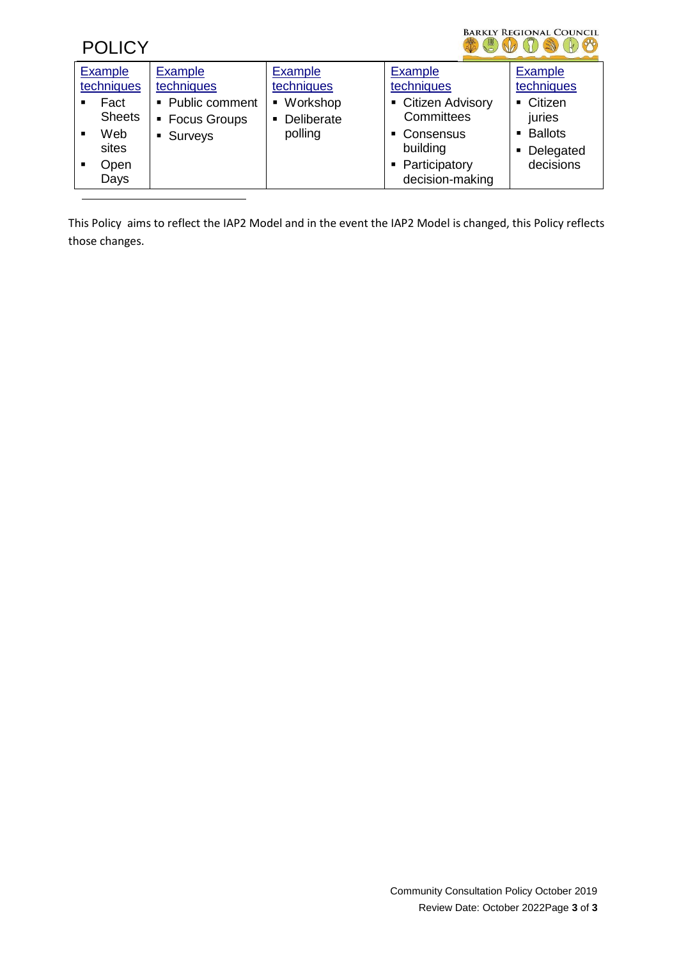# **POLICY**

# BARKLY REGIONAL COUNCIL \$800908

| Example                | <b>Example</b>   | <b>Example</b>               | <b>Example</b>     | <b>Example</b> |
|------------------------|------------------|------------------------------|--------------------|----------------|
| techniques             | techniques       | techniques                   | techniques         | techniques     |
| Fact<br>$\blacksquare$ | • Public comment | ■ Workshop                   | • Citizen Advisory | • Citizen      |
| <b>Sheets</b>          | • Focus Groups   | Deliberate<br>$\blacksquare$ | Committees         | juries         |
| Web<br>$\blacksquare$  | • Surveys        | polling                      | • Consensus        | • Ballots      |
| sites                  |                  |                              | building           | • Delegated    |
| Open<br>$\blacksquare$ |                  |                              | • Participatory    | decisions      |
| Days                   |                  |                              | decision-making    |                |

This Policy aims to reflect the IAP2 Model and in the event the IAP2 Model is changed, this Policy reflects those changes.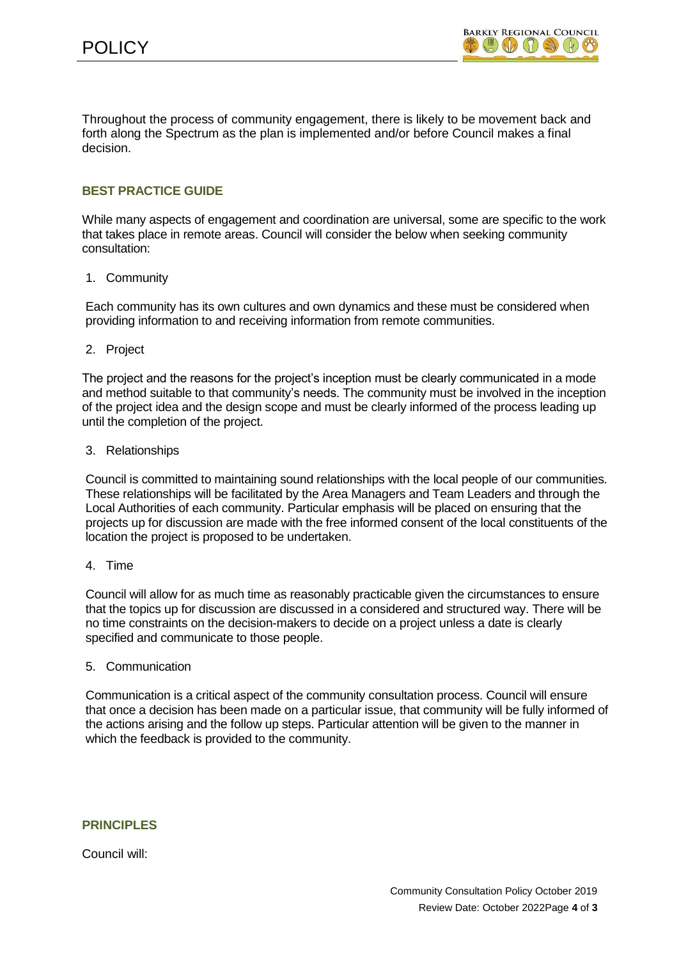Throughout the process of community engagement, there is likely to be movement back and forth along the Spectrum as the plan is implemented and/or before Council makes a final decision.

# **BEST PRACTICE GUIDE**

While many aspects of engagement and coordination are universal, some are specific to the work that takes place in remote areas. Council will consider the below when seeking community consultation:

## 1. Community

Each community has its own cultures and own dynamics and these must be considered when providing information to and receiving information from remote communities.

## 2. Project

The project and the reasons for the project's inception must be clearly communicated in a mode and method suitable to that community's needs. The community must be involved in the inception of the project idea and the design scope and must be clearly informed of the process leading up until the completion of the project.

## 3. Relationships

Council is committed to maintaining sound relationships with the local people of our communities. These relationships will be facilitated by the Area Managers and Team Leaders and through the Local Authorities of each community. Particular emphasis will be placed on ensuring that the projects up for discussion are made with the free informed consent of the local constituents of the location the project is proposed to be undertaken.

#### 4. Time

Council will allow for as much time as reasonably practicable given the circumstances to ensure that the topics up for discussion are discussed in a considered and structured way. There will be no time constraints on the decision-makers to decide on a project unless a date is clearly specified and communicate to those people.

#### 5. Communication

Communication is a critical aspect of the community consultation process. Council will ensure that once a decision has been made on a particular issue, that community will be fully informed of the actions arising and the follow up steps. Particular attention will be given to the manner in which the feedback is provided to the community.

## **PRINCIPLES**

Council will: